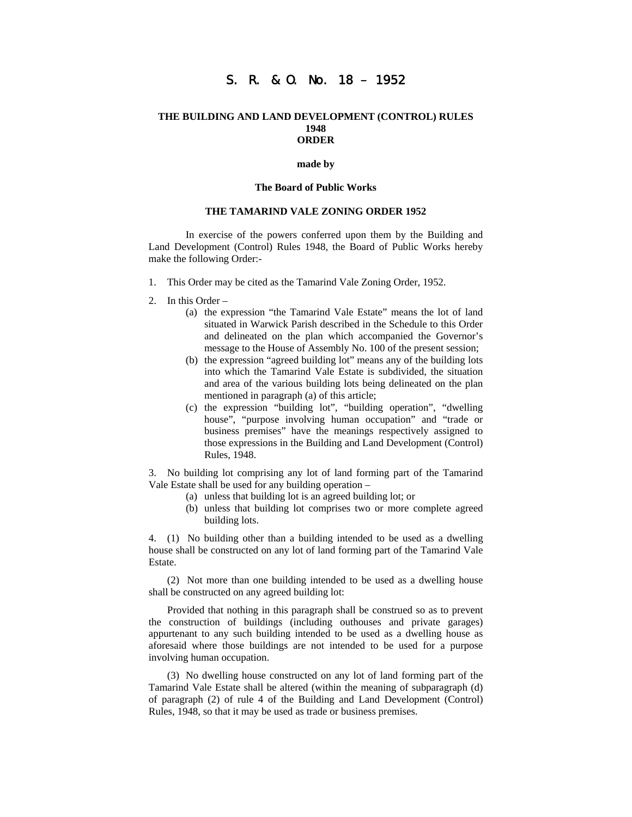# S. R. & O. No. 18 – 1952

#### **THE BUILDING AND LAND DEVELOPMENT (CONTROL) RULES 1948 ORDER**

#### **made by**

#### **The Board of Public Works**

### **THE TAMARIND VALE ZONING ORDER 1952**

 In exercise of the powers conferred upon them by the Building and Land Development (Control) Rules 1948, the Board of Public Works hereby make the following Order:-

- 1. This Order may be cited as the Tamarind Vale Zoning Order, 1952.
- 2. In this Order
	- (a) the expression "the Tamarind Vale Estate" means the lot of land situated in Warwick Parish described in the Schedule to this Order and delineated on the plan which accompanied the Governor's message to the House of Assembly No. 100 of the present session;
	- (b) the expression "agreed building lot" means any of the building lots into which the Tamarind Vale Estate is subdivided, the situation and area of the various building lots being delineated on the plan mentioned in paragraph (a) of this article;
	- (c) the expression "building lot", "building operation", "dwelling house", "purpose involving human occupation" and "trade or business premises" have the meanings respectively assigned to those expressions in the Building and Land Development (Control) Rules, 1948.

3. No building lot comprising any lot of land forming part of the Tamarind Vale Estate shall be used for any building operation –

- (a) unless that building lot is an agreed building lot; or
- (b) unless that building lot comprises two or more complete agreed building lots.

4. (1) No building other than a building intended to be used as a dwelling house shall be constructed on any lot of land forming part of the Tamarind Vale Estate.

(2) Not more than one building intended to be used as a dwelling house shall be constructed on any agreed building lot:

Provided that nothing in this paragraph shall be construed so as to prevent the construction of buildings (including outhouses and private garages) appurtenant to any such building intended to be used as a dwelling house as aforesaid where those buildings are not intended to be used for a purpose involving human occupation.

(3) No dwelling house constructed on any lot of land forming part of the Tamarind Vale Estate shall be altered (within the meaning of subparagraph (d) of paragraph (2) of rule 4 of the Building and Land Development (Control) Rules, 1948, so that it may be used as trade or business premises.